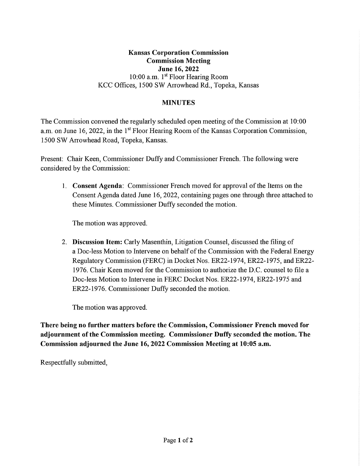### **Kansas Corporation Commission Commission Meeting June 16, 2022**  10:00 a.m. 1st Floor Hearing Room KCC Offices, 1500 SW Arrowhead Rd., Topeka, Kansas

### **MINUTES**

The Commission convened the regularly scheduled open meeting of the Commission at 10:00 a.m. on June 16, 2022, in the 1<sup>st</sup> Floor Hearing Room of the Kansas Corporation Commission, 1500 SW Arrowhead Road, Topeka, Kansas.

Present: Chair Keen, Commissioner Duffy and Commissioner French. The following were considered by the Commission:

I. **Consent Agenda:** Commissioner French moved for approval of the Items on the Consent Agenda dated June 16, 2022, containing pages one through three attached to these Minutes. Commissioner Duffy seconded the motion.

The motion was approved.

2. **Discussion Item:** Carly Masenthin, Litigation Counsel, discussed the filing of a Doc-less Motion to Intervene on behalf of the Commission with the Federal Energy Regulatory Commission (FERC) in Docket Nos. ER22-1974, ER22-1975, and ER22- 1976. Chair Keen moved for the Commission to authorize the D.C. counsel to file a Doc-less Motion to Intervene in FERC Docket Nos. ER22-1974, ER22-1975 and ER22-1976. Commissioner Duffy seconded the motion.

The motion was approved.

**There being no further matters before the Commission, Commissioner French moved for adjournment of the Commission meeting. Commissioner Duffy seconded the motion. The Commission adjourned the June 16, 2022 Commission Meeting at 10:05 a.m.** 

Respectfully submitted,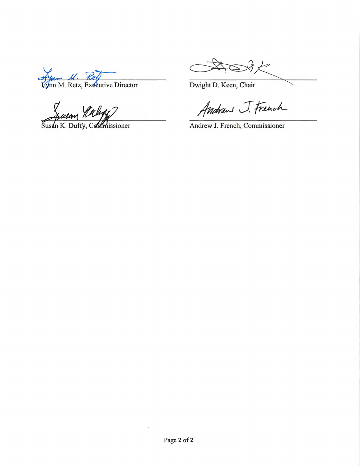Lynn M. Retz, Exceutive Director

a Calega?

Susan K. Duffy, Commissioner

Dwight D. Keen, Chair

Andrew J. French

Andrew J. French, Commissioner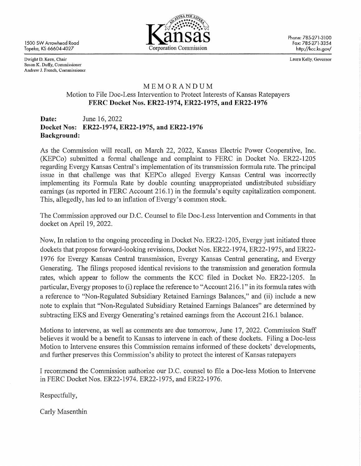1500 SW Arrowhead Road Topeka, KS 66604-4027



Phone: 785-271-3100 Fax: 785-271-3354 http://kcc.ks.gov/

Dwight D. Keen, Chair Susan K. Duffy, Commissioner Andrew J. French, Commissioner Laura Kelly, Governor

### MEMORANDUM Motion to File Doc-Less Intervention to Protect Interests of Kansas Ratepayers **FERC Docket Nos. ER22-1974, ER22-1975, and ER22-1976**

**Date:** June 16, 2022 **Docket Nos: ER22-1974, ER22-1975, and ER22-1976 Background:** 

As the Commission will recall, on March 22, 2022, Kansas Electric Power Cooperative, Inc. (KEPCo) submitted a formal challenge and complaint to FERC in Docket No. ER22-1205 regarding Evergy Kansas Central' s implementation of its transmission formula rate. The principal issue in that challenge was that KEPCo alleged Evergy Kansas Central was incorrectly implementing its Formula Rate by double counting unappropriated undistributed subsidiary earnings (as reported in FERC Account 216.1) in the formula's equity capitalization component. This, allegedly, has led to an inflation of Evergy's common stock.

The Commission approved our D.C. Counsel to file Doc-Less Intervention and Comments in that docket on April 19, 2022.

Now, In relation to the ongoing proceeding in Docket No. ER22-1205, Evergy just initiated three dockets that propose forward-looking revisions, Docket Nos. ER22-l 974, ER22-1975, and ER22- 1976 for Evergy Kansas Central transmission, Evergy Kansas Central generating, and Evergy Generating. The filings proposed identical revisions to the transmission and generation formula rates, which appear to follow the comments the KCC filed in Docket No. ER22-1205. In particular, Evergy proposes to (i) replace the reference to "Account 216.1" in its formula rates with a reference to "Non-Regulated Subsidiary Retained Earnings Balances," and (ii) include a new note to explain that "Non-Regulated Subsidiary Retained Earnings Balances" are determined by subtracting EKS and Evergy Generating's retained earnings from the Account 216.1 balance.

Motions to intervene, as well as comments are due tomorrow, June 17, 2022. Commission Staff believes it would be a benefit to Kansas to intervene in each of these dockets. Filing a Doc-less Motion to Intervene ensures this Commission remains informed of these dockets' developments, and further preserves this Commission's ability to protect the interest of Kansas ratepayers

I recommend the Commission authorize our D.C. counsel to file a Doc-less Motion to Intervene in FERC Docket Nos. ER22-1974. ER22-1975, and ER22-1976.

Respectfully,

Carly Masenthin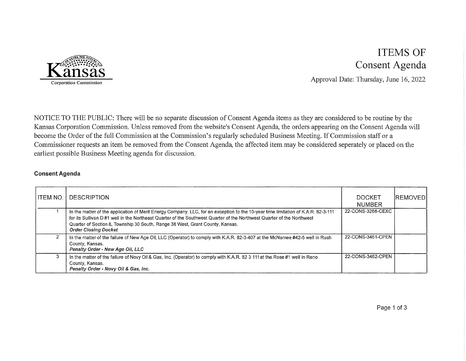

# ITEMS OF Consent Agenda

Approval Date: Thursday, June 16, 2022

NOTICE TO THE PUBLIC: There will be no separate discussion of Consent Agenda items as they are considered to be routine by the Kansas Corporation Commission. Unless removed from the website's Consent Agenda, the orders appearing on the Consent Agenda will become the Order of the full Commission at the Commission's regularly scheduled Business Meeting. If Commission staff or a Commissioner requests an item be removed from the Consent Agenda, the affected item may be considered seperately or placed on the earliest possible Business Meeting agenda for discussion.

#### **Consent Agenda**

| <b>ITEM NO.</b> | <b>DESCRIPTION</b>                                                                                                                                                                                                                                                                                                                                                         | DOCKET<br><b>NUMBER</b> | <b>IREMOVEDI</b> |
|-----------------|----------------------------------------------------------------------------------------------------------------------------------------------------------------------------------------------------------------------------------------------------------------------------------------------------------------------------------------------------------------------------|-------------------------|------------------|
|                 | In the matter of the application of Merit Energy Company, LLC, for an exception to the 10-year time limitation of K.A.R. 82-3-111<br>for its Sullivan D#1 well in the Northeast Quarter of the Southwest Quarter of the Northwest Quarter of the Northwest<br>Quarter of Section 8, Township 30 South, Range 38 West, Grant County, Kansas.<br><b>Order Closing Docket</b> | 22-CONS-3266-CEXC       |                  |
|                 | In the matter of the failure of New Age Oil, LLC (Operator) to comply with K.A.R. 82-3-407 at the McNamee #42-5 well in Rush<br>County, Kansas.<br>Penalty Order - New Age Oil, LLC                                                                                                                                                                                        | 22-CONS-3461-CPEN       |                  |
|                 | In the matter of the failure of Novy Oil & Gas, Inc. (Operator) to comply with K.A.R. 82 3 111 at the Rose #1 well in Reno<br>County, Kansas.<br>Penalty Order - Novy Oil & Gas, Inc.                                                                                                                                                                                      | 22-CONS-3462-CPEN       |                  |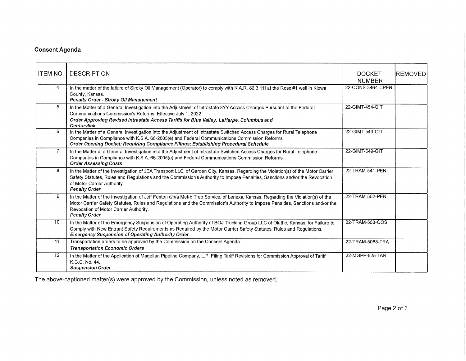### **Consent Agenda**

| <b>ITEM NO.</b> | <b>DESCRIPTION</b>                                                                                                                                                                                                                                                                                                                  | <b>DOCKET</b><br><b>NUMBER</b> | <b>IREMOVED</b> |
|-----------------|-------------------------------------------------------------------------------------------------------------------------------------------------------------------------------------------------------------------------------------------------------------------------------------------------------------------------------------|--------------------------------|-----------------|
| 4               | In the matter of the failure of Siroky Oil Management (Operator) to comply with K.A.R. 82 3 111 at the Rose #1 well in Kiowa<br>County, Kansas.<br>Penalty Order - Siroky Oil Management                                                                                                                                            | 22-CONS-3464-CPEN              |                 |
| 5               | In the Matter of a General Investigation into the Adjustment of Intrastate 8YY Access Charges Pursuant to the Federal<br>Communications Commission's Reforms, Effective July 1, 2022<br>Order Approving Revised Intrastate Access Tariffs for Blue Valley, LaHarpe, Columbus and<br>Centurylink                                     | 22-GIMT-454-GIT                |                 |
| 6               | In the Matter of a General Investigation into the Adjustment of Intrastate Switched Access Charges for Rural Telephone<br>Companies in Compliance with K.S.A. 66-2005(e) and Federal Communications Commission Reforms.<br>Order Opening Docket; Requiring Compliance Filings; Establishing Procedural Schedule                     | 22-GIMT-549-GIT                |                 |
| $\overline{7}$  | In the Matter of a General Investigation into the Adjustment of Intrastate Switched Access Charges for Rural Telephone<br>Companies in Compliance with K.S.A. 66-2005(e) and Federal Communications Commission Reforms.<br><b>Order Assessing Costs</b>                                                                             | 22-GIMT-549-GIT                |                 |
| 8               | In the Matter of the Investigation of JEA Transport LLC, of Garden City, Kansas, Regarding the Violation(s) of the Motor Carrier<br>Safety Statutes, Rules and Regulations and the Commission's Authority to Impose Penalties, Sanctions and/or the Revocation<br>of Motor Carrier Authority.<br><b>Penalty Order</b>               | 22-TRAM-541-PEN                |                 |
| 9               | In the Matter of the Investigation of Jeff Fenton d'b/a Metro Tree Service, of Lenexa, Kansas, Regarding the Violation(s) of the<br>Motor Carrier Safety Statutes, Rules and Regulations and the Commission's Authority to Impose Penalties, Sanctions and/or the<br>Revocation of Motor Carrier Authority.<br><b>Penalty Order</b> | 22-TRAM-552-PEN                |                 |
| 10              | In the Matter of the Emergency Suspension of Operating Authority of BOJ Trucking Group LLC of Olathe, Kansas, for Failure to<br>Comply with New Entrant Safety Requirements as Required by the Motor Carrier Safety Statutes, Rules and Regulations.<br><b>Emergency Suspension of Operating Authority Order</b>                    | 22-TRAM-553-OOS                |                 |
| 11              | Transportation orders to be approved by the Commission on the Consent Agenda.<br><b>Transportation Economic Orders</b>                                                                                                                                                                                                              | 22-TRAM-5088-TRA               |                 |
| 12              | In the Matter of the Application of Magellan Pipeline Company, L.P. Filing Tariff Revisions for Commission Approval of Tariff<br>K.C.C. No. 44.<br><b>Suspension Order</b>                                                                                                                                                          | 22-MGPP-525-TAR                |                 |

The above-captioned matter(s) were approved by the Commission, unless noted as removed.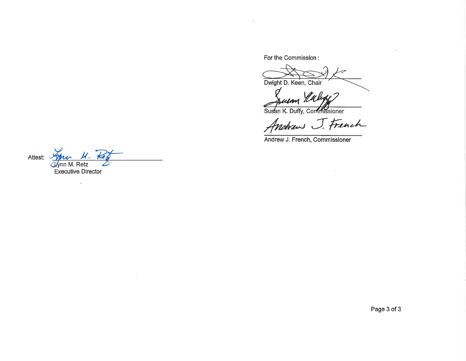For the Commission :

Dwight D. Keen, Chair

u**sa**n Ti

Susan K. Duffy, Commissioner

Andrew J. French

 $\sim$ 

Andrew J. French, Commissioner

Attest: *79nu U*. Executive Director

 $\sim$ 

 $\mathcal{F}$